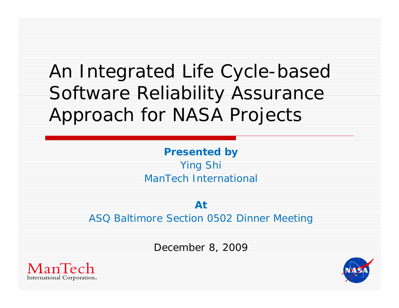#### An Integrated Life Cycle-based Software Reliability Assurance Approach for NASA Projects

**Presented by** Ying Shi ManTech International

**At**ASQ Baltimore Section 0502 Dinner Meeting

December 8, 2009



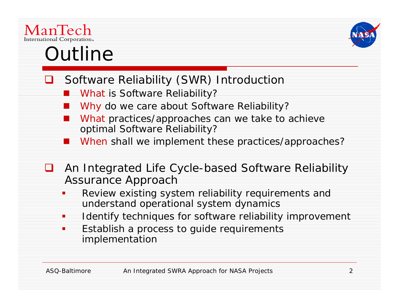

#### Outline

- **□** Software Reliability (SWR) Introduction
	- *What* is Software Reliability?
	- Why do we care about Software Reliability?
	- *What* practices/approaches can we take to achieve optimal Software Reliability?
	- *When* shall we implement these practices/approaches?
- $\Box$ An Integrated Life Cycle-based Software Reliability Assurance Approach
	- $\mathcal{L}(\mathcal{L})$  Review existing system reliability requirements and understand operational system dynamics
	- T, Identify techniques for software reliability improvement
	- $\blacksquare$  Establish a process to guide requirements implementation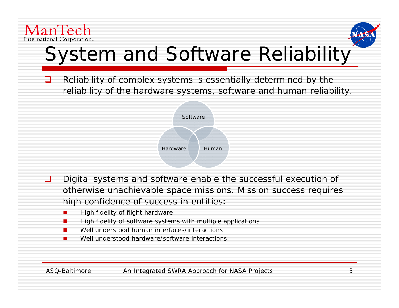

 $\Box$ 



## System and Software Reliability

 Reliability of complex systems is essentially determined by the reliability of the hardware systems, software and human reliability.



- ❏ Digital systems and software enable the successful execution of otherwise unachievable space missions. Mission success requires high confidence of success in entities:
	- $\blacksquare$ High fidelity of flight hardware
	- п High fidelity of software systems with multiple applications
	- П Well understood human interfaces/interactions
	- п Well understood hardware/software interactions

ASQ-Baltimore An Integrated SWRA Approach for NASA Projects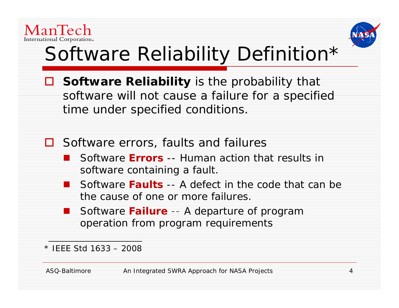



# Software Reliability Definition \*

- **Software Reliability** is the probability that software will not cause a failure for a specified time under specified conditions.
- $\Box$  Software errors, faults and failures
	- Software **Errors** -- Human action that results in software containing a fault.
	- $\mathbb{R}^3$  Software **Faults** -- A defect in the code that can be the cause of one or more failures.
	- Software **Failure** -- A departure of program operation from program requirements

\* IEEE Std 1633 – 2008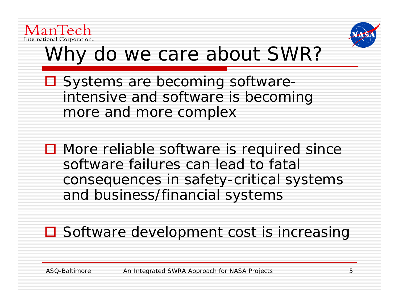



### Why do we care about SWR?

- □ Systems are becoming softwareintensive and software is becoming more and more complex
- **□** More reliable software is required since software failures can lead to fatal consequences in safety-critical systems and business/financial systems
- **□** Software development cost is increasing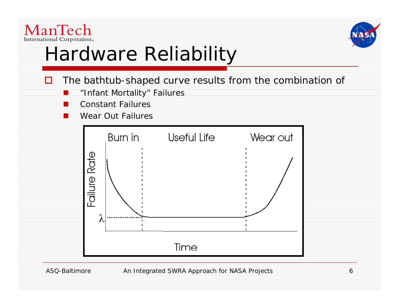



# Hardware Reliability

- □ The bathtub-shaped curve results from the combination of
	- $\Box$ **n** "Infant Mortality" Failures
	- **CO** Constant Failures
	- $\Box$ Wear Out Failures



#### ASQ-Baltimore An Integrated SWRA Approach for NASA Projects 6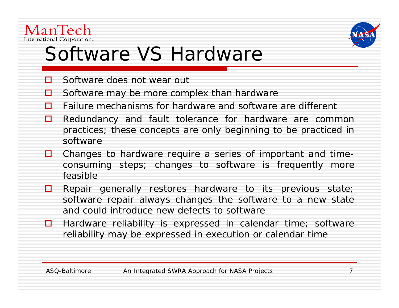



#### Software VS Hardware

- $\Box$ Software does not wear out
- ◘ Software may be more complex than hardware
- П. Failure mechanisms for hardware and software are different
- 0. Redundancy and fault tolerance for hardware are common practices; these concepts are only beginning to be practiced in software
- □ Changes to hardware require a series of important and timeconsuming steps; changes to software is frequently more feasible
- **Q** Repair generally restores hardware to its previous state; software repair always changes the software to <sup>a</sup> new state and could introduce new defects to software
- $\Box$  Hardware reliability is expressed in calendar time; software reliability may be expressed in execution or calendar time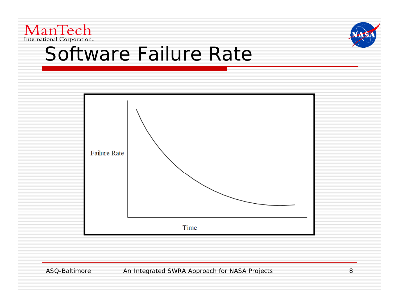



#### Software Failure Rate



ASQ-Baltimore An Integrated SWRA Approach for NASA Projects 8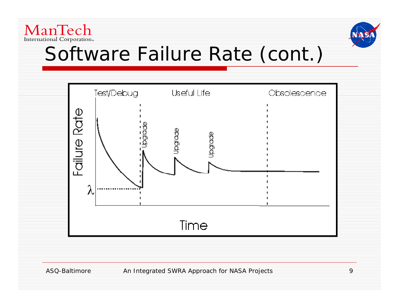



#### Software Failure Rate (cont.)

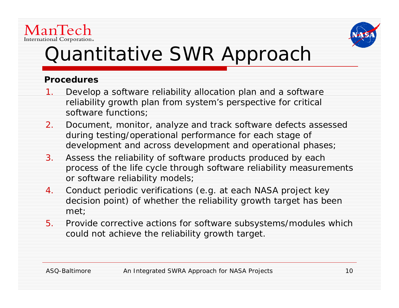



### Quantitative SWR Approach

#### **Procedures**

- 1.. Develop a software reliability allocation plan and a software reliability growth plan from system's perspective for critical software functions;
- 2. Document, monitor, analyze and track software defects assessed during testing/operational performance for each stage of development and across development and operational phases;
- 3.Assess the reliability of software products produced by each process of the life cycle through software reliability measurements or software reliability models;
- 4. Conduct periodic verifications (e.g. at each NASA project key decision point) of whether the reliability growth target has been met;
- 5. Provide corrective actions for software subsystems/modules which could not achieve the reliability growth target.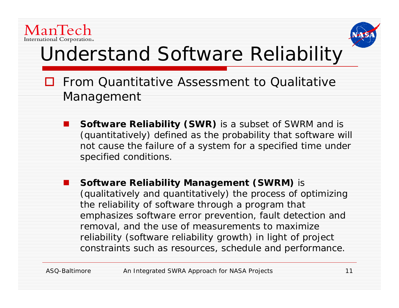



## Understand Software Reliability

- **O** From Quantitative Assessment to Qualitative Management
	- **Software Reliability (SWR)** is a subset of SWRM and is (quantitatively) defined as the probability that software will not cause the failure of a system for a specified time under specified conditions.
	- П **Software Reliability Management (SWRM)** is (qualitatively and quantitatively) the process of optimizing the reliability of software through a program that emphasizes software error prevention, fault detection and removal, and the use of measurements to maximize reliability (software reliability growth) in light of project constraints such as resources, schedule and performance.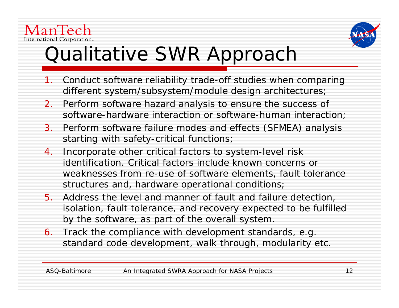



### Qualitative SWR Approach

- 1. Conduct software reliability trade-off studies when comparing different system/subsystem/module design architectures;
- 2. Perform software hazard analysis to ensure the success of software-hardware interaction or software-human interaction;
- 3. Perform software failure modes and effects (SFMEA) analysis starting with safety-critical functions;
- 4. Incorporate other critical factors to system-level risk identification. Critical factors include known concerns or weaknesses from re-use of software elements, fault tolerance structures and, hardware operational conditions;
- 5. Address the level and manner of fault and failure detection, isolation, fault tolerance, and recovery expected to be fulfilled by the software, as part of the overall system.
- 6.  $\,$  Track the compliance with development standards, e.g.  $\,$ standard code development, walk through, modularity etc.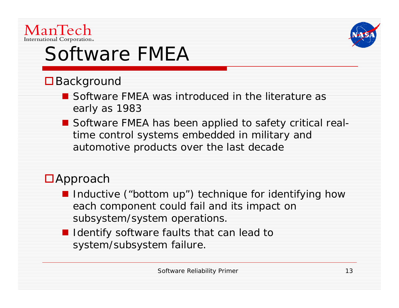

# Software FMEA

#### **□** Background

- Software FMEA was introduced in the literature as early as 1983
- Software FMEA has been applied to safety critical realtime control systems embedded in military and automotive products over the last decade

#### ■Approach

- **I** Inductive ("bottom up") technique for identifying how each component could fail and its impact on subsystem/system operations.
- **I** Identify software faults that can lead to system/subsystem failure.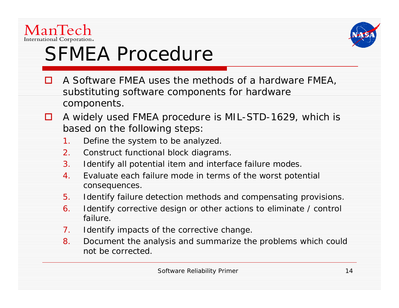



# SFMEA Procedure

- П A Software FMEA uses the methods of a hardware FMEA, substituting software components for hardware components.
- A widely used FMEA procedure is MIL-STD-1629, which is based on the following steps:
	- 1.Define the system to be analyzed.
	- 2.Construct functional block diagrams.
	- 3. Identify all potential item and interface failure modes.
	- 4.. Evaluate each failure mode in terms of the worst potential consequences.
	- 5.Identify failure detection methods and compensating provisions.
	- 6.. Identify corrective design or other actions to eliminate / control failure.
	- 7.Identify impacts of the corrective change.
	- 8. Document the analysis and summarize the problems which could not be corrected.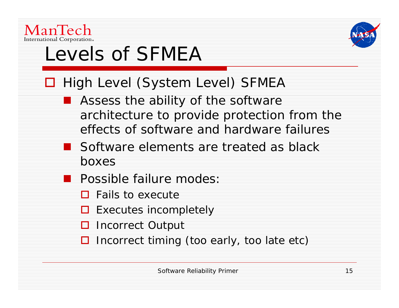



# Levels of SFMEA

- □ High Level (System Level) SFMEA
	- **Assess the ability of the software** architecture to provide protection from the effects of software and hardware failures
	- Software elements are treated as black boxes
	- **Possible failure modes:** 
		- $\Box$  Fails to execute
		- $\Box$  Executes incompletely
		- **□** Incorrect Output
		- **□** Incorrect timing (too early, too late etc)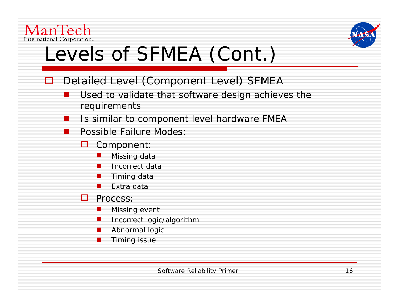



## Levels of SFMEA (Cont.)

- $\Box$  Detailed Level (Component Level) SFMEA
	- Used to validate that software design achieves the requirements
	- П Is similar to component level hardware FMEA
	- Possible Failure Modes:
		- ◘ Component:
			- $\blacksquare$ Missing data
			- $\blacksquare$ Incorrect data
			- × Timing data
			- $\blacksquare$ Extra data
		- **D** Process:
			- . Missing event
			- ш Incorrect logic/algorithm
			- . Abnormal logic
			- . . Timing issue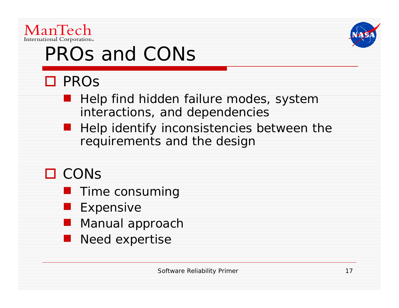



# PROs and CONs

#### **□** PROs

- an<br>M **Help find hidden failure modes, system** interactions, and dependencies
- **Help identify inconsistencies between the** requirements and the design

#### **□** CONs

- **Time consuming**
- **Expensive**
- **Manual approach**
- **Need expertise**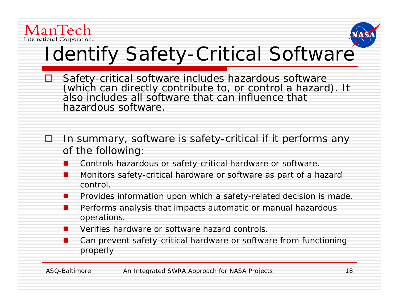



## Identify Safety-Critical Software

- $\Box$ ■ Safety-critical software includes hazardous software (which can directly contribute to, or control a hazard). It also includes all software that can influence that hazardous software.
- 0 In summary, software is safety-critical if it performs any of the following:
	- . Controls hazardous or safety-critical hardware or software.
	- . **I** Monitors safety-critical hardware or software as part of a hazard control.
	- $\Box$ Provides information upon which a safety-related decision is made.
	- . **Part and Full Performs** analysis that impacts automatic or manual hazardous and performs analysis that impacts automatic or manual hazardous operations.
	- $\Box$ Verifies hardware or software hazard controls.
	- . Can prevent safety-critical hardware or software from functioning properly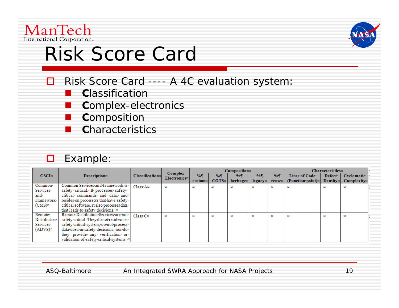

◻

### Risk Score Card

- Risk Score Card ---- A 4C evaluation system:
	- an<br>Ma **C**lassification
	- an<br>Ma **C**omplex-electronics
	- an<br>Ma **C**omposition
	- an<br>Ma **C**haracteristics

#### □ Example:

| CSCI <sub>2</sub>                                             | <b>Description</b>                                                                                                                                                                                                                                | Classificational       | Complex<br><b>Electronics¤</b> | Composition                        |                                    |                   |                 |             | Characteristics¤                                 |                                        |                            |
|---------------------------------------------------------------|---------------------------------------------------------------------------------------------------------------------------------------------------------------------------------------------------------------------------------------------------|------------------------|--------------------------------|------------------------------------|------------------------------------|-------------------|-----------------|-------------|--------------------------------------------------|----------------------------------------|----------------------------|
|                                                               |                                                                                                                                                                                                                                                   |                        |                                | $\%$<br>$\cos$ <i>tom</i> $\alpha$ | $\frac{0}{0}$<br>COTS <sub>2</sub> | $\%$<br>heritagen | $\%$<br>legacy¤ | %<br>reuse¤ | Lines∙of∙Code∙<br>$[Function\cdot point] \times$ | Defect <sup>.</sup><br><b>Densitys</b> | Cyclomatic.<br>Complexity¤ |
| Common·<br>Services·<br>and∙<br>Framework<br>$(CMS)$ $\alpha$ | Common·Services·and·Framework·is·<br>safety critical. It processes safety-<br>critical commands and data, and<br>resides on processors that have safety<br>critical software. It also processes data<br>that leads to safety decisions. a         | Class·A <sup>∞</sup>   | o                              | ×                                  | ×                                  | ×                 | ×               | ×           | ×                                                |                                        | ×                          |
| Remote·<br>Distribution·<br>Services·<br>$(ADVS)$ $\alpha$    | Remote Distribution Services are not<br>safety critical. They donot reside on a<br>safety critical system, do not process<br>data used in safety decisions, nor do-<br>they provide any verification or<br>validation of safety critical systems. | $Class \cdot C \alpha$ | o                              |                                    | ×                                  | ×                 | ×               | ×           | ×                                                | o                                      | ¤                          |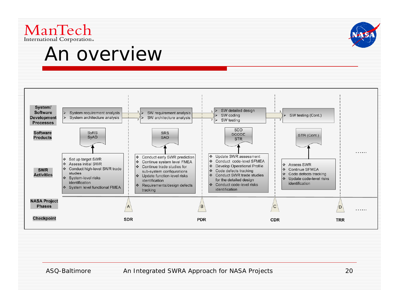

#### An overview



ASQ-Baltimore **An Integrated SWRA Approach for NASA Projects** 20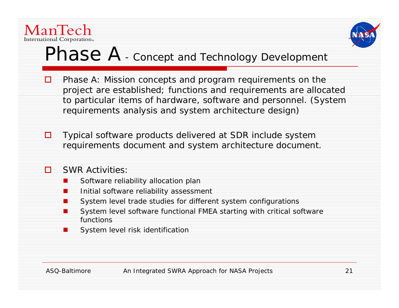



#### $Phase A$  - Concept and Technology Development

- $\Box$  Phase A: Mission concepts and program requirements on the project are established; functions and requirements are allocated to particular items of hardware, software and personnel. (System requirements analysis and system architecture design)
- ◘ Typical software products delivered at SDR include system requirements document and system architecture document.

#### П. SWR Activities:

- Г Software reliability allocation plan
- Г Initial software reliability assessment
- П System level trade studies for different system configurations
- Г System level software functional FMEA starting with critical software functions
- π System level risk identification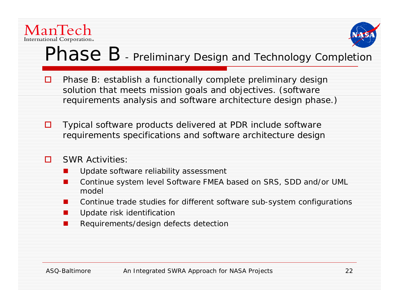



#### $Phase B$  - Preliminary Design and Technology Completion

- $\Box$  Phase B: establish a functionally complete preliminary design solution that meets mission goals and objectives. (software requirements analysis and software architecture design phase.)
- 0. Typical software products delivered at PDR include software requirements specifications and software architecture design

#### п SWR Activities:

- П Update software reliability assessment
- . Continue system level Software FMEA based on SRS, SDD and/or UML model
- $\overline{\phantom{a}}$ Continue trade studies for different software sub-system configurations
- ×, Update risk identification
- ∙ Requirements/design defects detection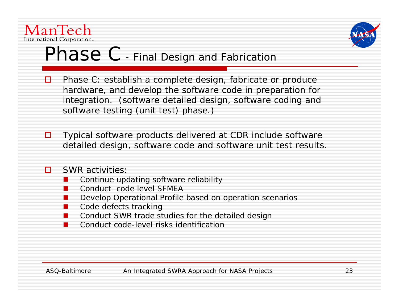



#### $Phase C$  - Final Design and Fabrication -

- **□** Phase C: establish a complete design, fabricate or produce hardware, and develop the software code in preparation for integration. (software detailed design, software coding and software testing (unit test) phase.)
- О. Typical software products delivered at CDR include software detailed design, software code and software unit test results.

#### П. SWR activities:

- ×, Continue updating software reliability
- ×, Conduct code level SFMEA
- ×, Develop Operational Profile based on operation scenarios
- ×, Code defects tracking
- ×, Conduct SWR trade studies for the detailed design
- ×, Conduct code-level risks identification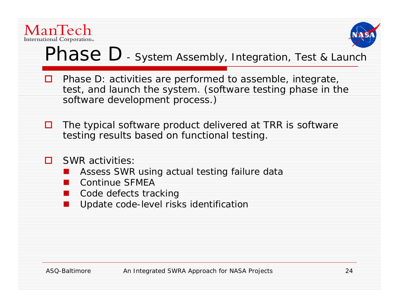